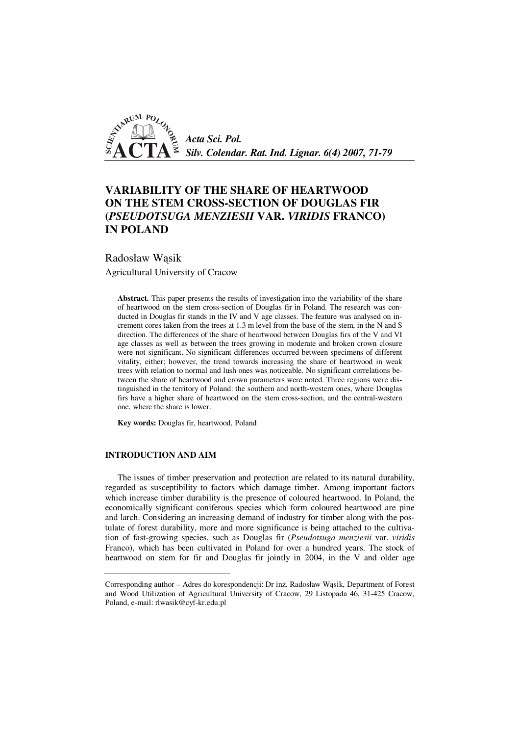

# **VARIABILITY OF THE SHARE OF HEARTWOOD ON THE STEM CROSS-SECTION OF DOUGLAS FIR (***PSEUDOTSUGA MENZIESII* **VAR.** *VIRIDIS* **FRANCO) IN POLAND**

Radosław Wąsik

Agricultural University of Cracow

**Abstract.** This paper presents the results of investigation into the variability of the share of heartwood on the stem cross-section of Douglas fir in Poland. The research was conducted in Douglas fir stands in the IV and V age classes. The feature was analysed on increment cores taken from the trees at 1.3 m level from the base of the stem, in the N and S direction. The differences of the share of heartwood between Douglas firs of the V and VI age classes as well as between the trees growing in moderate and broken crown closure were not significant. No significant differences occurred between specimens of different vitality, either; however, the trend towards increasing the share of heartwood in weak trees with relation to normal and lush ones was noticeable. No significant correlations between the share of heartwood and crown parameters were noted. Three regions were distinguished in the territory of Poland: the southern and north-western ones, where Douglas firs have a higher share of heartwood on the stem cross-section, and the central-western one, where the share is lower.

**Key words:** Douglas fir, heartwood, Poland

## **INTRODUCTION AND AIM**

The issues of timber preservation and protection are related to its natural durability, regarded as susceptibility to factors which damage timber. Among important factors which increase timber durability is the presence of coloured heartwood. In Poland, the economically significant coniferous species which form coloured heartwood are pine and larch. Considering an increasing demand of industry for timber along with the postulate of forest durability, more and more significance is being attached to the cultivation of fast-growing species, such as Douglas fir (*Pseudotsuga menziesii* var. *viridis*  Franco), which has been cultivated in Poland for over a hundred years. The stock of heartwood on stem for fir and Douglas fir jointly in 2004, in the V and older age

Corresponding author – Adres do korespondencji: Dr inż. Radosław Wąsik, Department of Forest and Wood Utilization of Agricultural University of Cracow, 29 Listopada 46, 31-425 Cracow, Poland, e-mail: rlwasik@cyf-kr.edu.pl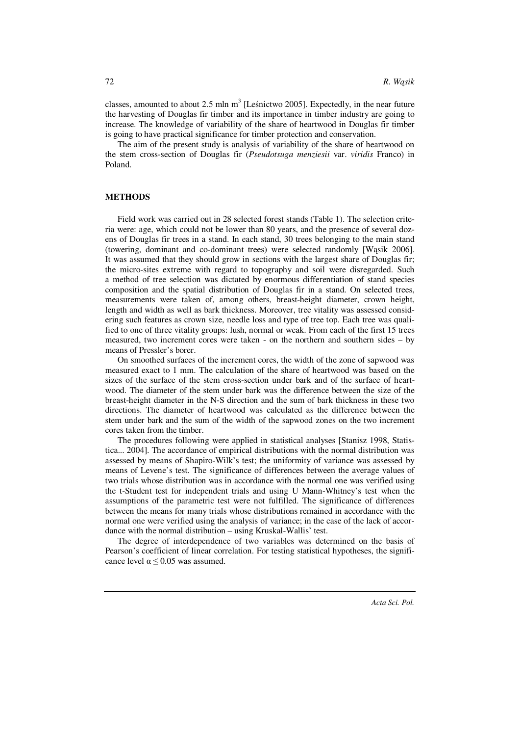classes, amounted to about 2.5 mln  $m<sup>3</sup>$  [Leśnictwo 2005]. Expectedly, in the near future the harvesting of Douglas fir timber and its importance in timber industry are going to increase. The knowledge of variability of the share of heartwood in Douglas fir timber is going to have practical significance for timber protection and conservation.

The aim of the present study is analysis of variability of the share of heartwood on the stem cross-section of Douglas fir (*Pseudotsuga menziesii* var. *viridis* Franco) in Poland.

#### **METHODS**

Field work was carried out in 28 selected forest stands (Table 1). The selection criteria were: age, which could not be lower than 80 years, and the presence of several dozens of Douglas fir trees in a stand. In each stand, 30 trees belonging to the main stand (towering, dominant and co-dominant trees) were selected randomly [Wąsik 2006]. It was assumed that they should grow in sections with the largest share of Douglas fir; the micro-sites extreme with regard to topography and soil were disregarded. Such a method of tree selection was dictated by enormous differentiation of stand species composition and the spatial distribution of Douglas fir in a stand. On selected trees, measurements were taken of, among others, breast-height diameter, crown height, length and width as well as bark thickness. Moreover, tree vitality was assessed considering such features as crown size, needle loss and type of tree top. Each tree was qualified to one of three vitality groups: lush, normal or weak. From each of the first 15 trees measured, two increment cores were taken - on the northern and southern sides – by means of Pressler's borer.

On smoothed surfaces of the increment cores, the width of the zone of sapwood was measured exact to 1 mm. The calculation of the share of heartwood was based on the sizes of the surface of the stem cross-section under bark and of the surface of heartwood. The diameter of the stem under bark was the difference between the size of the breast-height diameter in the N-S direction and the sum of bark thickness in these two directions. The diameter of heartwood was calculated as the difference between the stem under bark and the sum of the width of the sapwood zones on the two increment cores taken from the timber.

The procedures following were applied in statistical analyses [Stanisz 1998, Statistica... 2004]. The accordance of empirical distributions with the normal distribution was assessed by means of Shapiro-Wilk's test; the uniformity of variance was assessed by means of Levene's test. The significance of differences between the average values of two trials whose distribution was in accordance with the normal one was verified using the t-Student test for independent trials and using U Mann-Whitney's test when the assumptions of the parametric test were not fulfilled. The significance of differences between the means for many trials whose distributions remained in accordance with the normal one were verified using the analysis of variance; in the case of the lack of accordance with the normal distribution – using Kruskal-Wallis' test.

The degree of interdependence of two variables was determined on the basis of Pearson's coefficient of linear correlation. For testing statistical hypotheses, the significance level  $\alpha$  < 0.05 was assumed.

72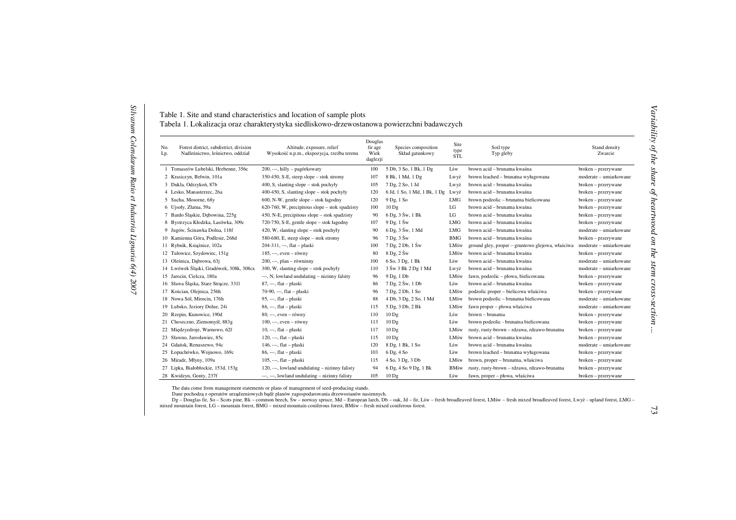| Table 1. Site and stand characteristics and location of sample plots                        |
|---------------------------------------------------------------------------------------------|
| Tabela 1. Lokalizacja oraz charakterystyka siedliskowo-drzewostanowa powierzchni badawczych |

| No.<br>Lp. | Forest district, subdistrict, division<br>Nadleśnictwo, leśnictwo, oddział | Altitude, exposure, relief<br>Wysokość n.p.m., ekspozycja, rzeźba terenu | Douglas<br>fir age<br>Wiek<br>daglezji | Species composition<br>Skład gatunkowy | Site<br>type<br><b>STL</b> | Soil type<br>Typ gleby                           | Stand density<br>Zwarcie |
|------------|----------------------------------------------------------------------------|--------------------------------------------------------------------------|----------------------------------------|----------------------------------------|----------------------------|--------------------------------------------------|--------------------------|
|            | 1 Tomaszów Lubelski, Hrebenne, 356c                                        | 200, ---, hilly - pagórkowaty                                            | 100                                    | 5 Db, 3 So, 1 Bk, 1 Dg                 | Lśw                        | brown acid - brunatna kwaśna                     | broken – przerywane      |
|            | 2 Krasiczyn, Bełwin, 101a                                                  | 350-450, S-E, steep slope – stok stromy                                  | 107                                    | 8 Bk, 1 Md, 1 Dg                       | Lwyż                       | brown leached - brunatna wyługowana              | moderate - umiarkowane   |
|            | 3 Dukla, Odrzykoń, 87b                                                     | 400, S, slanting slope $-$ stok pochyly                                  | 105                                    | 7 Dg, 2 So, 1 Jd                       | Lwyż                       | brown acid - brunatna kwaśna                     | broken - przerywane      |
|            | 4 Lesko, Manasterzec, 26a                                                  | 400-450, S, slanting slope – stok pochyły                                | 120                                    | 6 Jd, 1 So, 1 Md, 1 Bk, 1 Dg           | Lwyż                       | brown acid - brunatna kwaśna                     | broken - przerywane      |
|            | 5 Sucha, Mosorne, 68y                                                      | 600, N-W, gentle slope - stok łagodny                                    | 120                                    | 9 Dg, 1 So                             | <b>LMG</b>                 | brown podzolic - brunatna bielicowana            | broken - przerywane      |
|            | 6 Ujsoły, Złatna, 59a                                                      | $620-760$ , W, precipitous slope – stok spadzisty                        | 100                                    | 10 <sub>Dg</sub>                       | LG                         | brown acid - brunatna kwaśna                     | broken – przerywane      |
|            | 7 Bardo Śląskie, Dębowina, 225g                                            | 450, N-E, precipitous slope $-$ stok spadzisty                           | 90                                     | $6$ Dg, $3$ Sw, $1$ Bk                 | LG                         | brown acid - brunatna kwaśna                     | broken – przerywane      |
|            | 8 Bystrzyca Kłodzka, Lasówka, 309c                                         | 720-750, S-E, gentle slope – stok łagodny                                | 107                                    | $9$ Dg, $1$ Sw                         | LMG                        | brown acid - brunatna kwaśna                     | broken - przerywane      |
|            | 9 Jugów, Ścinawka Dolna, 118f                                              | 420, W, slanting slope – stok pochyły                                    | 90                                     | 6 Dg, 3 Sw, 1 Md                       | LMG                        | brown acid - brunatna kwaśna                     | moderate - umiarkowane   |
|            | 10 Kamienna Góra, Podlesie, 268d                                           | $580-680$ , E, steep slope – stok stromy                                 | 96                                     | $7 \text{ Dg}$ , $3 \text{ Sw}$        | <b>BMG</b>                 | brown acid - brunatna kwaśna                     | broken – przerywane      |
|            | 11 Rybnik, Książnice, 102a                                                 | $204-311$ , ---, flat - płaski                                           | 100                                    | $7$ Dg, $2$ Db, $1$ Sw                 | LMśw                       | ground gley, proper – gruntowo glejowa, właściwa | moderate – umiarkowane   |
|            | 12 Tułowice, Szydowiec, 151g                                               | $185, ---, even - równy$                                                 | 80                                     | $8$ Dg, $2$ Sw                         | LMśw                       | brown acid - brunatna kwaśna                     | broken - przerywane      |
|            | 13 Oleśnica, Dabrowa, 63j                                                  | $200, \ldots$ , plan - równinny                                          | 100                                    | 6 So, 3 Dg, 1 Bk                       | Lśw                        | brown acid - brunatna kwaśna                     | moderate - umiarkowane   |
|            | 14 Lwówek Śląski, Gradówek, 308k, 308cx                                    | $300$ , W, slanting slope – stok pochyły                                 | 110                                    | 3 Sw 3 Bk 2 Dg 1 Md                    | Lwyż                       | brown acid - brunatna kwaśna                     | moderate - umiarkowane   |
|            | 15 Jarocin, Cielcza, 180a                                                  | ---, N, lowland undulating - nizinny falsity                             | 96                                     | 9 Dg, 1 Db                             | LMśw                       | fawn, podzolic - płowa, bielicowana              | broken - przerywane      |
|            | 16 Sława Śląska, Stare Strącze, 3311                                       | $87, --, flat-ptaski$                                                    | 86                                     | 7 Dg, 2 Sw, 1 Db                       | Lśw                        | brown acid - brunatna kwaśna                     | broken - przerywane      |
|            | 17 Kościan, Olejnica, 256h                                                 | 70-90, ---, flat - płaski                                                | 96                                     | 7 Dg, 2 Db, 1 So                       | LMśw                       | podzolic proper - bielicowa właściwa             | broken - przerywane      |
|            | 18 Nowa Sól, Mirocin, 176h                                                 | $95, --, flat - plaski$                                                  | 88                                     | 4 Db, 3 Dg, 2 So, 1 Md                 | LMśw                       | brown podzolic - brunatna bielicowana            | moderate - umiarkowane   |
|            | 19 Lubsko, Jeziory Dolne, 24i                                              | $86, --$ , flat – płaski                                                 | 115                                    | 5 Dg, 3 Db, 2 Bk                       | LMśw                       | fawn proper – płowa właściwa                     | moderate - umiarkowane   |
|            | 20 Rzepin, Kunowice, 190d                                                  | $80, \dots$ , even – równy                                               | 110                                    | 10 <sub>Dg</sub>                       | Lśw                        | brown - brunatna                                 | broken - przerywane      |
|            | 21 Choszczno, Ziemomyśl, 883g                                              | $100, ---, even - równy$                                                 | 113                                    | 10 <sub>Dg</sub>                       | Lśw                        | brown podzolic - brunatna bielicowana            | broken – przerywane      |
|            | 22 Międzyzdroje, Warnowo, 62f                                              | $10, --$ , flat – płaski                                                 | 117                                    | 10 <sub>Dg</sub>                       | LMśw                       | rusty, rusty-brown - rdzawa, rdzawo-brunatna     | broken – przerywane      |
|            | 23 Sławno, Jarosławiec, 85c                                                | $120, --, flat-phaski$                                                   | 115                                    | 10 <sub>Dg</sub>                       | LMśw                       | brown acid - brunatna kwaśna                     | broken - przerywane      |
|            | 24 Gdańsk, Renuszewo, 94c                                                  | $146, \ldots$ , flat – płaski                                            | 120                                    | 8 Dg, 1 Bk, 1 So                       | Lśw                        | brown acid - brunatna kwaśna                     | moderate - umiarkowane   |
|            | 25 Łopuchówko, Wojnowo, 169c                                               | $86, --, flat - plaski$                                                  | 103                                    | 6 Dg, 4 So                             | Lśw                        | brown leached - brunatna wyługowana              | broken – przerywane      |
|            | 26 Miradz, Młyny, 109a                                                     | $105, \ldots$ , flat – płaski                                            | 115                                    | 4 So, 3 Dg, 3 Db                       | LMśw                       | brown, proper - brunatna, właściwa               | broken - przerywane      |
|            | 27 Lipka, Białobłockie, 153d, 153g                                         | 120, ---, lowland undulating - nizinny falisty                           | 94                                     | 6 Dg, 4 So 9 Dg, 1 Bk                  | <b>BMśw</b>                | rusty, rusty-brown - rdzawa, rdzawo-brunatna     | broken - przerywane      |
|            | 28 Kwidzyn, Gonty, 237f                                                    | ---, ---, lowland undulating - nizinny falisty                           | 105                                    | 10 <sub>Dg</sub>                       | Lśw                        | fawn, proper - płowa, właściwa                   | broken - przerywane      |

The data come from management statements or plans of management of seed-producing stands.

Dane pochodzą z operatów urządzeniowych bądź planów zagospodarowania drzewostanów nasiennych.<br>Dg – Douglas fir, So – Scots pine, Bk – common beech, Św – norway spruce, Md – European larch, Db – oak, Jd – fir, Lśw – fresh b mixed mountain forest, LG – mountain forest, BMG – mixed mountain coniferous forest, BMśw – fresh mixed coniferous forest.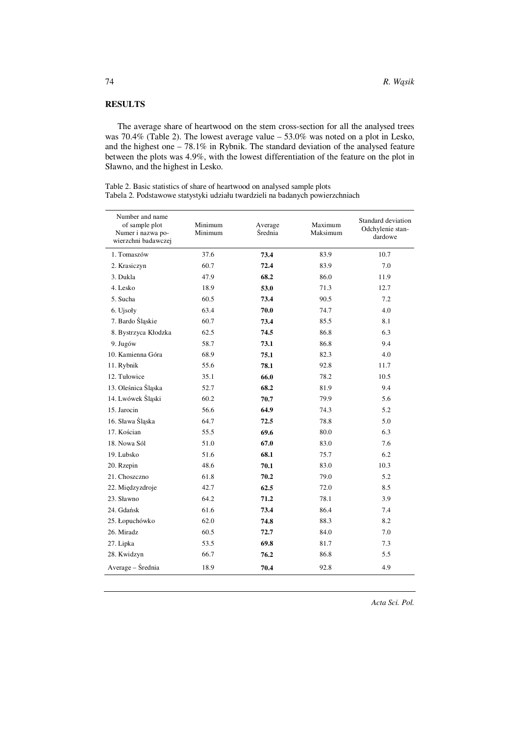## **RESULTS**

The average share of heartwood on the stem cross-section for all the analysed trees was 70.4% (Table 2). The lowest average value – 53.0% was noted on a plot in Lesko, and the highest one – 78.1% in Rybnik. The standard deviation of the analysed feature between the plots was 4.9%, with the lowest differentiation of the feature on the plot in Sławno, and the highest in Lesko.

| Table 2. Basic statistics of share of heartwood on analysed sample plots      |
|-------------------------------------------------------------------------------|
| Tabela 2. Podstawowe statystyki udziału twardzieli na badanych powierzchniach |

| Number and name<br>of sample plot<br>Numer i nazwa po-<br>wierzchni badawczej | Minimum<br>Minimum | Average<br>Średnia | Maximum<br>Maksimum | Standard deviation<br>Odchylenie stan-<br>dardowe |
|-------------------------------------------------------------------------------|--------------------|--------------------|---------------------|---------------------------------------------------|
| 1. Tomaszów                                                                   | 37.6               | 73.4               | 83.9                | 10.7                                              |
| 2. Krasiczyn                                                                  | 60.7               | 72.4               | 83.9                | 7.0                                               |
| 3. Dukla                                                                      | 47.9               | 68.2               | 86.0                | 11.9                                              |
| 4. Lesko                                                                      | 18.9               | 53.0               | 71.3                | 12.7                                              |
| 5. Sucha                                                                      | 60.5               | 73.4               | 90.5                | 7.2                                               |
| 6. Ujsoły                                                                     | 63.4               | 70.0               | 74.7                | 4.0                                               |
| 7. Bardo Śląskie                                                              | 60.7               | 73.4               | 85.5                | 8.1                                               |
| 8. Bystrzyca Kłodzka                                                          | 62.5               | 74.5               | 86.8                | 6.3                                               |
| 9. Jugów                                                                      | 58.7               | 73.1               | 86.8                | 9.4                                               |
| 10. Kamienna Góra                                                             | 68.9               | 75.1               | 82.3                | 4.0                                               |
| 11. Rybnik                                                                    | 55.6               | 78.1               | 92.8                | 11.7                                              |
| 12. Tułowice                                                                  | 35.1               | 66.0               | 78.2                | 10.5                                              |
| 13. Oleśnica Śląska                                                           | 52.7               | 68.2               | 81.9                | 9.4                                               |
| 14. Lwówek Śląski                                                             | 60.2               | 70.7               | 79.9                | 5.6                                               |
| 15. Jarocin                                                                   | 56.6               | 64.9               | 74.3                | 5.2                                               |
| 16. Sława Śląska                                                              | 64.7               | 72.5               | 78.8                | 5.0                                               |
| 17. Kościan                                                                   | 55.5               | 69.6               | 80.0                | 6.3                                               |
| 18. Nowa Sól                                                                  | 51.0               | 67.0               | 83.0                | 7.6                                               |
| 19. Lubsko                                                                    | 51.6               | 68.1               | 75.7                | 6.2                                               |
| 20. Rzepin                                                                    | 48.6               | 70.1               | 83.0                | 10.3                                              |
| 21. Choszczno                                                                 | 61.8               | 70.2               | 79.0                | 5.2                                               |
| 22. Międzyzdroje                                                              | 42.7               | 62.5               | 72.0                | 8.5                                               |
| 23. Sławno                                                                    | 64.2               | 71.2               | 78.1                | 3.9                                               |
| 24. Gdańsk                                                                    | 61.6               | 73.4               | 86.4                | 7.4                                               |
| 25. Łopuchówko                                                                | 62.0               | 74.8               | 88.3                | 8.2                                               |
| 26. Miradz                                                                    | 60.5               | 72.7               | 84.0                | 7.0                                               |
| 27. Lipka                                                                     | 53.5               | 69.8               | 81.7                | 7.3                                               |
| 28. Kwidzyn                                                                   | 66.7               | 76.2               | 86.8                | 5.5                                               |
| Average – Średnia                                                             | 18.9               | 70.4               | 92.8                | 4.9                                               |

*Acta Sci. Pol.*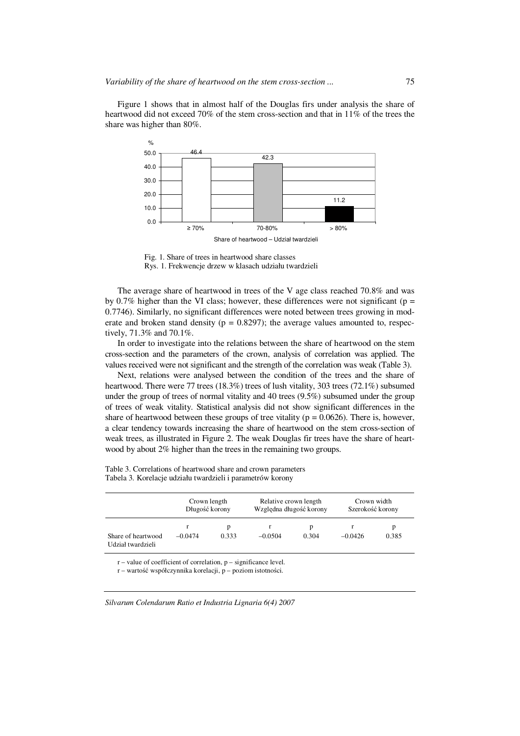Figure 1 shows that in almost half of the Douglas firs under analysis the share of heartwood did not exceed 70% of the stem cross-section and that in 11% of the trees the share was higher than 80%.



Fig. 1. Share of trees in heartwood share classes Rys. 1. Frekwencje drzew w klasach udziału twardzieli

The average share of heartwood in trees of the V age class reached 70.8% and was by 0.7% higher than the VI class; however, these differences were not significant ( $p =$ 0.7746). Similarly, no significant differences were noted between trees growing in moderate and broken stand density ( $p = 0.8297$ ); the average values amounted to, respectively, 71.3% and 70.1%.

In order to investigate into the relations between the share of heartwood on the stem cross-section and the parameters of the crown, analysis of correlation was applied. The values received were not significant and the strength of the correlation was weak (Table 3).

Next, relations were analysed between the condition of the trees and the share of heartwood. There were 77 trees (18.3%) trees of lush vitality, 303 trees (72.1%) subsumed under the group of trees of normal vitality and 40 trees (9.5%) subsumed under the group of trees of weak vitality. Statistical analysis did not show significant differences in the share of heartwood between these groups of tree vitality ( $p = 0.0626$ ). There is, however, a clear tendency towards increasing the share of heartwood on the stem cross-section of weak trees, as illustrated in Figure 2. The weak Douglas fir trees have the share of heartwood by about 2% higher than the trees in the remaining two groups.

|  | Table 3. Correlations of heartwood share and crown parameters |  |  |
|--|---------------------------------------------------------------|--|--|
|  | Tabela 3. Korelacje udziału twardzieli i parametrów korony    |  |  |

|                                         | Crown length<br>Długość korony |            | Relative crown length<br>Względna długość korony |            | Crown width<br>Szerokość korony |            |
|-----------------------------------------|--------------------------------|------------|--------------------------------------------------|------------|---------------------------------|------------|
| Share of heartwood<br>Udział twardzieli | $-0.0474$                      | D<br>0.333 | $-0.0504$                                        | p<br>0.304 | $-0.0426$                       | p<br>0.385 |

 $r$  – value of coefficient of correlation,  $p$  – significance level.

r – wartość współczynnika korelacji, p – poziom istotności.

*Silvarum Colendarum Ratio et Industria Lignaria 6(4) 2007*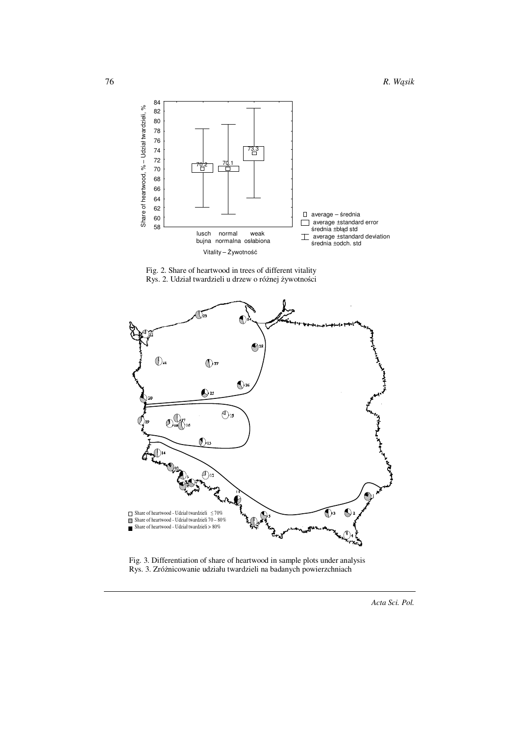







*Acta Sci. Pol.*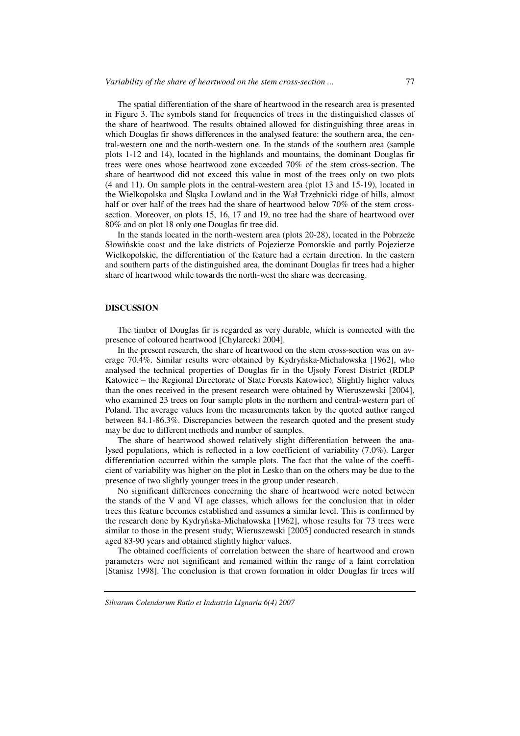The spatial differentiation of the share of heartwood in the research area is presented in Figure 3. The symbols stand for frequencies of trees in the distinguished classes of the share of heartwood. The results obtained allowed for distinguishing three areas in which Douglas fir shows differences in the analysed feature: the southern area, the central-western one and the north-western one. In the stands of the southern area (sample plots 1-12 and 14), located in the highlands and mountains, the dominant Douglas fir trees were ones whose heartwood zone exceeded 70% of the stem cross-section. The share of heartwood did not exceed this value in most of the trees only on two plots (4 and 11). On sample plots in the central-western area (plot 13 and 15-19), located in the Wielkopolska and Śląska Lowland and in the Wał Trzebnicki ridge of hills, almost half or over half of the trees had the share of heartwood below 70% of the stem crosssection. Moreover, on plots 15, 16, 17 and 19, no tree had the share of heartwood over 80% and on plot 18 only one Douglas fir tree did.

In the stands located in the north-western area (plots 20-28), located in the Pobrzeże Słowińskie coast and the lake districts of Pojezierze Pomorskie and partly Pojezierze Wielkopolskie, the differentiation of the feature had a certain direction. In the eastern and southern parts of the distinguished area, the dominant Douglas fir trees had a higher share of heartwood while towards the north-west the share was decreasing.

#### **DISCUSSION**

The timber of Douglas fir is regarded as very durable, which is connected with the presence of coloured heartwood [Chylarecki 2004].

In the present research, the share of heartwood on the stem cross-section was on average 70.4%. Similar results were obtained by Kydryńska-Michałowska [1962], who analysed the technical properties of Douglas fir in the Ujsoły Forest District (RDLP Katowice – the Regional Directorate of State Forests Katowice). Slightly higher values than the ones received in the present research were obtained by Wieruszewski [2004], who examined 23 trees on four sample plots in the northern and central-western part of Poland. The average values from the measurements taken by the quoted author ranged between 84.1-86.3%. Discrepancies between the research quoted and the present study may be due to different methods and number of samples.

The share of heartwood showed relatively slight differentiation between the analysed populations, which is reflected in a low coefficient of variability (7.0%). Larger differentiation occurred within the sample plots. The fact that the value of the coefficient of variability was higher on the plot in Lesko than on the others may be due to the presence of two slightly younger trees in the group under research.

No significant differences concerning the share of heartwood were noted between the stands of the V and VI age classes, which allows for the conclusion that in older trees this feature becomes established and assumes a similar level. This is confirmed by the research done by Kydryńska-Michałowska [1962], whose results for 73 trees were similar to those in the present study; Wieruszewski [2005] conducted research in stands aged 83-90 years and obtained slightly higher values.

The obtained coefficients of correlation between the share of heartwood and crown parameters were not significant and remained within the range of a faint correlation [Stanisz 1998]. The conclusion is that crown formation in older Douglas fir trees will

*Silvarum Colendarum Ratio et Industria Lignaria 6(4) 2007*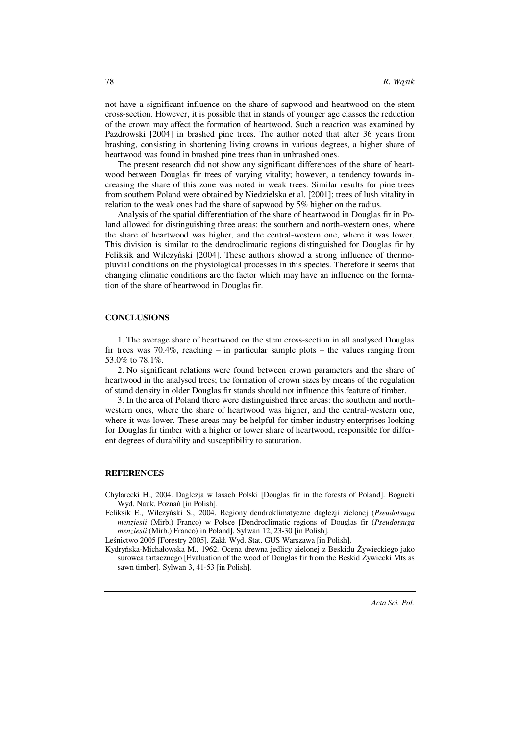not have a significant influence on the share of sapwood and heartwood on the stem cross-section. However, it is possible that in stands of younger age classes the reduction of the crown may affect the formation of heartwood. Such a reaction was examined by Pazdrowski [2004] in brashed pine trees. The author noted that after 36 years from brashing, consisting in shortening living crowns in various degrees, a higher share of heartwood was found in brashed pine trees than in unbrashed ones.

The present research did not show any significant differences of the share of heartwood between Douglas fir trees of varying vitality; however, a tendency towards increasing the share of this zone was noted in weak trees. Similar results for pine trees from southern Poland were obtained by Niedzielska et al. [2001]; trees of lush vitality in relation to the weak ones had the share of sapwood by 5% higher on the radius.

Analysis of the spatial differentiation of the share of heartwood in Douglas fir in Poland allowed for distinguishing three areas: the southern and north-western ones, where the share of heartwood was higher, and the central-western one, where it was lower. This division is similar to the dendroclimatic regions distinguished for Douglas fir by Feliksik and Wilczyński [2004]. These authors showed a strong influence of thermopluvial conditions on the physiological processes in this species. Therefore it seems that changing climatic conditions are the factor which may have an influence on the formation of the share of heartwood in Douglas fir.

#### **CONCLUSIONS**

1. The average share of heartwood on the stem cross-section in all analysed Douglas fir trees was  $70.4\%$ , reaching – in particular sample plots – the values ranging from 53.0% to 78.1%.

2. No significant relations were found between crown parameters and the share of heartwood in the analysed trees; the formation of crown sizes by means of the regulation of stand density in older Douglas fir stands should not influence this feature of timber.

3. In the area of Poland there were distinguished three areas: the southern and northwestern ones, where the share of heartwood was higher, and the central-western one, where it was lower. These areas may be helpful for timber industry enterprises looking for Douglas fir timber with a higher or lower share of heartwood, responsible for different degrees of durability and susceptibility to saturation.

#### **REFERENCES**

Chylarecki H., 2004. Daglezja w lasach Polski [Douglas fir in the forests of Poland]. Bogucki Wyd. Nauk. Poznań [in Polish].

Feliksik E., Wilczyński S., 2004. Regiony dendroklimatyczne daglezji zielonej (*Pseudotsuga menziesii* (Mirb.) Franco) w Polsce [Dendroclimatic regions of Douglas fir (*Pseudotsuga menziesii* (Mirb.) Franco) in Poland]. Sylwan 12, 23-30 [in Polish].

Leśnictwo 2005 [Forestry 2005]. Zakł. Wyd. Stat. GUS Warszawa [in Polish].

Kydryńska-Michałowska M., 1962. Ocena drewna jedlicy zielonej z Beskidu Żywieckiego jako surowca tartacznego [Evaluation of the wood of Douglas fir from the Beskid Żywiecki Mts as sawn timber]. Sylwan 3, 41-53 [in Polish].